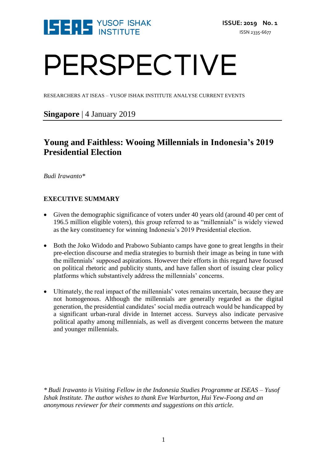

# PERSPECTIVE

RESEARCHERS AT ISEAS – YUSOF ISHAK INSTITUTE ANALYSE CURRENT EVENTS

# **Singapore** | 4 January 2019

# **Young and Faithless: Wooing Millennials in Indonesia's 2019 Presidential Election**

*Budi Irawanto\**

## **EXECUTIVE SUMMARY**

- Given the demographic significance of voters under 40 years old (around 40 per cent of 196.5 million eligible voters), this group referred to as "millennials" is widely viewed as the key constituency for winning Indonesia's 2019 Presidential election.
- Both the Joko Widodo and Prabowo Subianto camps have gone to great lengths in their pre-election discourse and media strategies to burnish their image as being in tune with the millennials' supposed aspirations. However their efforts in this regard have focused on political rhetoric and publicity stunts, and have fallen short of issuing clear policy platforms which substantively address the millennials' concerns.
- Ultimately, the real impact of the millennials' votes remains uncertain, because they are not homogenous. Although the millennials are generally regarded as the digital generation, the presidential candidates' social media outreach would be handicapped by a significant urban-rural divide in Internet access. Surveys also indicate pervasive political apathy among millennials, as well as divergent concerns between the mature and younger millennials.

*\* Budi Irawanto is Visiting Fellow in the Indonesia Studies Programme at ISEAS – Yusof Ishak Institute. The author wishes to thank Eve Warburton, Hui Yew-Foong and an anonymous reviewer for their comments and suggestions on this article.*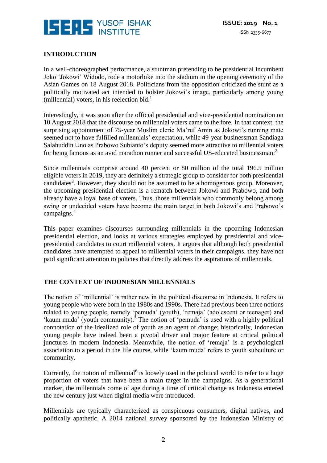

### **INTRODUCTION**

In a well-choreographed performance, a stuntman pretending to be presidential incumbent Joko 'Jokowi' Widodo, rode a motorbike into the stadium in the opening ceremony of the Asian Games on 18 August 2018. Politicians from the opposition criticized the stunt as a politically motivated act intended to bolster Jokowi's image, particularly among young (millennial) voters, in his reelection bid. $<sup>1</sup>$ </sup>

Interestingly, it was soon after the official presidential and vice-presidential nomination on 10 August 2018 that the discourse on millennial voters came to the fore. In that context, the surprising appointment of 75-year Muslim cleric Ma'ruf Amin as Jokowi's running mate seemed not to have fulfilled millennials' expectation, while 49-year businessman Sandiaga Salahuddin Uno as Prabowo Subianto's deputy seemed more attractive to millennial voters for being famous as an avid marathon runner and successful US-educated businessman.<sup>2</sup>

Since millennials comprise around 40 percent or 80 million of the total 196.5 million eligible voters in 2019, they are definitely a strategic group to consider for both presidential candidates<sup>3</sup>. However, they should not be assumed to be a homogenous group. Moreover, the upcoming presidential election is a rematch between Jokowi and Prabowo, and both already have a loyal base of voters. Thus, those millennials who commonly belong among swing or undecided voters have become the main target in both Jokowi's and Prabowo's campaigns.<sup>4</sup>

This paper examines discourses surrounding millennials in the upcoming Indonesian presidential election, and looks at various strategies employed by presidential and vicepresidential candidates to court millennial voters. It argues that although both presidential candidates have attempted to appeal to millennial voters in their campaigns, they have not paid significant attention to policies that directly address the aspirations of millennials.

#### **THE CONTEXT OF INDONESIAN MILLENNIALS**

The notion of 'millennial' is rather new in the political discourse in Indonesia. It refers to young people who were born in the 1980s and 1990s. There had previous been three notions related to young people, namely 'pemuda' (youth), 'remaja' (adolescent or teenager) and 'kaum muda' (youth community).<sup>5</sup> The notion of 'pemuda' is used with a highly political connotation of the idealized role of youth as an agent of change; historically, Indonesian young people have indeed been a pivotal driver and major feature at critical political junctures in modern Indonesia. Meanwhile, the notion of 'remaja' is a psychological association to a period in the life course, while 'kaum muda' refers to youth subculture or community.

Currently, the notion of millennial<sup>6</sup> is loosely used in the political world to refer to a huge proportion of voters that have been a main target in the campaigns. As a generational marker, the millennials come of age during a time of critical change as Indonesia entered the new century just when digital media were introduced.

Millennials are typically characterized as conspicuous consumers, digital natives, and politically apathetic. A 2014 national survey sponsored by the Indonesian Ministry of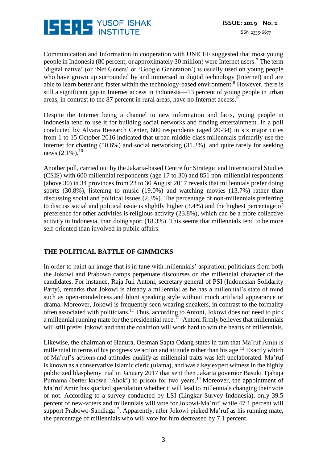

Communication and Information in cooperation with UNICEF suggested that most young people in Indonesia (80 percent, or approximately 30 million) were Internet users.<sup>7</sup> The term 'digital native' (or 'Net Geners' or 'Google Generation') is usually used on young people who have grown up surrounded by and immersed in digital technology (Internet) and are able to learn better and faster within the technology-based environment.<sup>8</sup> However, there is still a significant gap in Internet access in Indonesia—13 percent of young people in urban areas, in contrast to the 87 percent in rural areas, have no Internet access.<sup>9</sup>

Despite the Internet being a channel to new information and facts, young people in Indonesia tend to use it for building social networks and finding entertainment. In a poll conducted by Alvara Research Center, 600 respondents (aged 20-34) in six major cities from 1 to 15 October 2016 indicated that urban middle-class millennials primarily use the Internet for chatting (50.6%) and social networking (31.2%), and quite rarely for seeking news  $(2.1\%)$ .<sup>10</sup>

Another poll, carried out by the Jakarta-based Centre for Strategic and International Studies (CSIS) with 600 millennial respondents (age 17 to 30) and 851 non-millennial respondents (above 30) in 34 provinces from 23 to 30 August 2017 reveals that millennials prefer doing sports (30.8%), listening to music (19.0%) and watching movies (13.7%) rather than discussing social and political issues (2.3%). The percentage of non-millennials preferring to discuss social and political issue is slightly higher (3.4%) and the highest percentage of preference for other activities is religious activity (23.8%), which can be a more collective activity in Indonesia, than doing sport (18.3%). This seems that millennials tend to be more self-oriented than involved in public affairs.

#### **THE POLITICAL BATTLE OF GIMMICKS**

In order to paint an image that is in tune with millennials' aspiration, politicians from both the Jokowi and Prabowo camps perpetuate discourses on the millennial character of the candidates. For instance, Raja Juli Antoni, secretary general of PSI (Indonesian Solidarity Party), remarks that Jokowi is already a millennial as he has a millennial's state of mind such as open-mindedness and blunt speaking style without much artificial appearance or drama. Moreover, Jokowi is frequently seen wearing sneakers, in contrast to the formality often associated with politicians.<sup>11</sup> Thus, according to Antoni, Jokowi does not need to pick a millennial running mate for the presidential race.<sup>12</sup> Antoni firmly believes that millennials will still prefer Jokowi and that the coalition will work hard to win the hearts of millennials.

Likewise, the chairman of Hanura, Oesman Sapta Odang states in turn that Ma'ruf Amin is millennial in terms of his progressive action and attitude rather than his age.<sup>13</sup> Exactly which of Ma'ruf's actions and attitudes qualify as millennial traits was left unelaborated. Ma'ruf is known as a conservative Islamic cleric (ulama), and was a key expert witness in the highly publicized blasphemy trial in January 2017 that sent then Jakarta governor Basuki Tjahaja Purnama (better known 'Ahok') to prison for two years.<sup>14</sup> Moreover, the appointment of Ma'ruf Amin has sparked speculation whether it will lead to millennials changing their vote or not. According to a survey conducted by LSI (Lingkar Survey Indonesia), only 39.5 percent of new-voters and millennials will vote for Jokowi-Ma'ruf, while 47.1 percent will support Prabowo-Sandiaga<sup>15</sup>. Apparently, after Jokowi picked Ma'ruf as his running mate, the percentage of millennials who will vote for him decreased by 7.1 percent.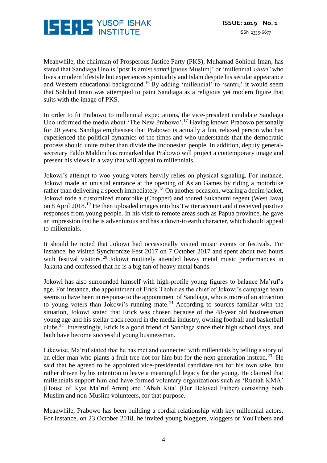

Meanwhile, the chairman of Prosperous Justice Party (PKS), Muhamad Sohibul Iman, has stated that Sandiaga Uno is 'post Islamist *santri* [pious Muslim]' or 'millennial *santri'* who lives a modern lifestyle but experiences spirituality and Islam despite his secular appearance and Western educational background.<sup>16</sup> By adding 'millennial' to 'santri,' it would seem that Sohibul Iman was attempted to paint Sandiaga as a religious yet modern figure that suits with the image of PKS.

In order to fit Prabowo to millennial expectations, the vice-president candidate Sandiaga Uno informed the media about 'The New Prabowo'.<sup>17</sup> Having known Prabowo personally for 20 years, Sandiga emphasises that Prabowo is actually a fun, relaxed person who has experienced the political dynamics of the times and who understands that the democratic process should unite rather than divide the Indonesian people. In addition, deputy generalsecretary Faldo Maldini has remarked that Prabowo will project a contemporary image and present his views in a way that will appeal to millennials.

Jokowi's attempt to woo young voters heavily relies on physical signaling. For instance, Jokowi made an unusual entrance at the opening of Asian Games by riding a motorbike rather than delivering a speech immediately.<sup>18</sup> On another occasion, wearing a denim jacket, Jokowi rode a customized motorbike (Chopper) and toured Sukabumi regent (West Java) on 8 April 2018.<sup>19</sup> He then uploaded images into his Twitter account and it received positive responses from young people. In his visit to remote areas such as Papua province, he gave an impression that he is adventurous and has a down-to earth character, which should appeal to millennials.

It should be noted that Jokowi had occasionally visited music events or festivals. For instance, he visited Synchronize Fest 2017 on 7 October 2017 and spent about two hours with festival visitors.<sup>20</sup> Jokowi routinely attended heavy metal music performances in Jakarta and confessed that he is a big fan of heavy metal bands.

Jokowi has also surrounded himself with high-profile young figures to balance Ma'ruf's age. For instance, the appointment of Erick Thohir as the chief of Jokowi's campaign team seems to have been in response to the appointment of Sandiaga, who is more of an attraction to young voters than Jokowi's running mate. <sup>21</sup> According to sources familiar with the situation, Jokowi stated that Erick was chosen because of the 48-year old businessman young age and his stellar track record in the media industry, owning football and basketball clubs.<sup>22</sup> Interestingly, Erick is a good friend of Sandiaga since their high school days, and both have become successful young businessman.

Likewise, Ma'ruf stated that he has met and connected with millennials by telling a story of an elder man who plants a fruit tree not for him but for the next generation instead.<sup>23</sup> He said that he agreed to be appointed vice-presidential candidate not for his own sake, but rather driven by his intention to leave a meaningful legacy for the young. He claimed that millennials support him and have formed voluntary organizations such as 'Rumah KMA' (House of Kyai Ma'ruf Amin) and 'Abah Kita' (Our Beloved Father) consisting both Muslim and non-Muslim volunteers, for that purpose.

Meanwhile, Prabowo has been building a cordial relationship with key millennial actors. For instance, on 23 October 2018, he invited young bloggers, vloggers or YouTubers and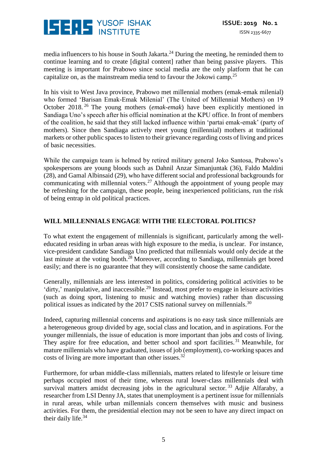

media influencers to his house in South Jakarta.<sup>24</sup> During the meeting, he reminded them to continue learning and to create [digital content] rather than being passive players. This meeting is important for Prabowo since social media are the only platform that he can capitalize on, as the mainstream media tend to favour the Jokowi camp.<sup>25</sup>

In his visit to West Java province, Prabowo met millennial mothers (emak-emak milenial) who formed 'Barisan Emak-Emak Milenial' (The United of Millennial Mothers) on 19 October 2018. <sup>26</sup> The young mothers (*emak-emak*) have been explicitly mentioned in Sandiaga Uno's speech after his official nomination at the KPU office. In front of members of the coalition, he said that they still lacked influence within 'partai emak-emak' (party of mothers). Since then Sandiaga actively meet young (millennial) mothers at traditional markets or other public spaces to listen to their grievance regarding costs of living and prices of basic necessities.

While the campaign team is helmed by retired military general Joko Santosa, Prabowo's spokespersons are young bloods such as Dahnil Anzar Simanjuntak (36), Faldo Maldini (28), and Gamal Albinsaid (29), who have different social and professional backgrounds for communicating with millennial voters.<sup>27</sup> Although the appointment of young people may be refreshing for the campaign, these people, being inexperienced politicians, run the risk of being entrap in old political practices.

### **WILL MILLENNIALS ENGAGE WITH THE ELECTORAL POLITICS?**

To what extent the engagement of millennials is significant, particularly among the welleducated residing in urban areas with high exposure to the media, is unclear. For instance, vice-president candidate Sandiaga Uno predicted that millennials would only decide at the last minute at the voting booth.<sup>28</sup> Moreover, according to Sandiaga, millennials get bored easily; and there is no guarantee that they will consistently choose the same candidate.

Generally, millennials are less interested in politics, considering political activities to be 'dirty,' manipulative, and inaccessible.<sup>29</sup> Instead, most prefer to engage in leisure activities (such as doing sport, listening to music and watching movies) rather than discussing political issues as indicated by the 2017 CSIS national survey on millennials.<sup>30</sup>

Indeed, capturing millennial concerns and aspirations is no easy task since millennials are a heterogeneous group divided by age, social class and location, and in aspirations. For the younger millennials, the issue of education is more important than jobs and costs of living. They aspire for free education, and better school and sport facilities.<sup>31</sup> Meanwhile, for mature millennials who have graduated, issues of job (employment), co-working spaces and costs of living are more important than other issues.<sup>32</sup>

Furthermore, for urban middle-class millennials, matters related to lifestyle or leisure time perhaps occupied most of their time, whereas rural lower-class millennials deal with survival matters amidst decreasing jobs in the agricultural sector.<sup>33</sup> Adjie Alfaraby, a researcher from LSI Denny JA, states that unemployment is a pertinent issue for millennials in rural areas, while urban millennials concern themselves with music and business activities. For them, the presidential election may not be seen to have any direct impact on their daily life.<sup>34</sup>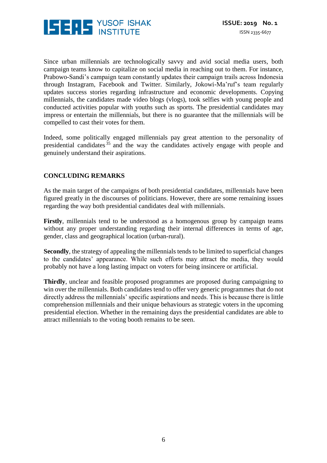

Since urban millennials are technologically savvy and avid social media users, both campaign teams know to capitalize on social media in reaching out to them. For instance, Prabowo-Sandi's campaign team constantly updates their campaign trails across Indonesia through Instagram, Facebook and Twitter. Similarly, Jokowi-Ma'ruf's team regularly updates success stories regarding infrastructure and economic developments. Copying millennials, the candidates made video blogs (vlogs), took selfies with young people and conducted activities popular with youths such as sports. The presidential candidates may impress or entertain the millennials, but there is no guarantee that the millennials will be compelled to cast their votes for them.

Indeed, some politically engaged millennials pay great attention to the personality of presidential candidates <sup>35</sup> and the way the candidates actively engage with people and genuinely understand their aspirations.

#### **CONCLUDING REMARKS**

As the main target of the campaigns of both presidential candidates, millennials have been figured greatly in the discourses of politicians. However, there are some remaining issues regarding the way both presidential candidates deal with millennials.

**Firstly**, millennials tend to be understood as a homogenous group by campaign teams without any proper understanding regarding their internal differences in terms of age, gender, class and geographical location (urban-rural).

**Secondly**, the strategy of appealing the millennials tends to be limited to superficial changes to the candidates' appearance. While such efforts may attract the media, they would probably not have a long lasting impact on voters for being insincere or artificial.

**Thirdly**, unclear and feasible proposed programmes are proposed during campaigning to win over the millennials. Both candidates tend to offer very generic programmes that do not directly address the millennials' specific aspirations and needs. This is because there is little comprehension millennials and their unique behaviours as strategic voters in the upcoming presidential election. Whether in the remaining days the presidential candidates are able to attract millennials to the voting booth remains to be seen.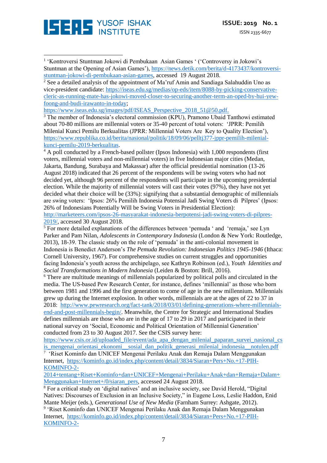

1 'Kontroversi Stuntman Jokowi di Pembukaan Asian Games ' ('Controversy in Jokowi's Stuntman at the Opening of Asian Games'), [https://news.detik.com/berita/d-4173437/kontroversi](https://news.detik.com/berita/d-4173437/kontroversi-stuntman-jokowi-di-pembukaan-asian-games)[stuntman-jokowi-di-pembukaan-asian-games,](https://news.detik.com/berita/d-4173437/kontroversi-stuntman-jokowi-di-pembukaan-asian-games) accessed 19 August 2018. <u>.</u>

 $2$  See a detailed analysis of the appointment of Ma'ruf Amin and Sandiaga Salahuddin Uno as vice-president candidate: [https://iseas.edu.sg/medias/op-eds/item/8088-by-picking-conservative](https://iseas.edu.sg/medias/op-eds/item/8088-by-picking-conservative-cleric-as-running-mate-has-jokowi-moved-closer-to-securing-another-term-an-oped-by-hui-yew-foong-and-budi-irawanto-in-today)[cleric-as-running-mate-has-jokowi-moved-closer-to-securing-another-term-an-oped-by-hui-yew](https://iseas.edu.sg/medias/op-eds/item/8088-by-picking-conservative-cleric-as-running-mate-has-jokowi-moved-closer-to-securing-another-term-an-oped-by-hui-yew-foong-and-budi-irawanto-in-today)[foong-and-budi-irawanto-in-today;](https://iseas.edu.sg/medias/op-eds/item/8088-by-picking-conservative-cleric-as-running-mate-has-jokowi-moved-closer-to-securing-another-term-an-oped-by-hui-yew-foong-and-budi-irawanto-in-today)

[https://www.iseas.edu.sg/images/pdf/ISEAS\\_Perspective\\_2018\\_51@50.pdf.](https://www.iseas.edu.sg/images/pdf/ISEAS_Perspective_2018_51@50.pdf)

<sup>3</sup> The member of Indonesia's electoral commission (KPU), Pramono Ubaid Tanthowi estimated about 70-80 millions are millennial voters or 35-40 percent of total voters: 'JPRR: Pemilih Milenial Kunci Pemilu Berkualitas (JPRR: Millennial Voters Are Key to Quality Election'), [https://www.republika.co.id/berita/nasional/politik/18/09/06/pelltj377-jppr-pemilih-milenial](https://www.republika.co.id/berita/nasional/politik/18/09/06/pelltj377-jppr-pemilih-milenial-kunci-pemilu-2019-berkualitas)[kunci-pemilu-2019-berkualitas.](https://www.republika.co.id/berita/nasional/politik/18/09/06/pelltj377-jppr-pemilih-milenial-kunci-pemilu-2019-berkualitas)

<sup>4</sup> A poll conducted by a French-based pollster (Ipsos Indonesia) with 1,000 respondents (first voters, millennial voters and non-millennial voters) in five Indonesian major cities (Medan, Jakarta, Bandung, Surabaya and Makassar) after the official presidential nomination (13-26 August 2018) indicated that 26 percent of the respondents will be swing voters who had not decided yet, although 96 percent of the respondents will participate in the upcoming presidential election. While the majority of millennial voters will cast their votes (97%), they have not yet decided what their choice will be (33%): signifying that a substantial demographic of millennials are swing voters: 'Ipsos: 26% Pemilih Indonesia Potensial Jadi Swing Voters di Pilpres' (Ipsos: 26% of Indonesians Potentially Will be Swing Voters in Presidential Election): [http://marketeers.com/ipsos-26-masyarakat-indonesia-berpotensi-jadi-swing-voters-di-pilpres-](http://marketeers.com/ipsos-26-masyarakat-indonesia-berpotensi-jadi-swing-voters-di-pilpres-2019/)[2019/,](http://marketeers.com/ipsos-26-masyarakat-indonesia-berpotensi-jadi-swing-voters-di-pilpres-2019/) accessed 30 August 2018.

 $\frac{1}{5}$  For more detailed explanations of the differences between 'pemuda ' and 'remaja,' see Lyn Parker and Pam Nilan, *Adolescents in Contemporary Indonesia* (London & New York: Routledge, 2013), 18-39. The classic study on the role of 'pemuda' in the anti-colonial movement in Indonesia is Benedict Anderson's *The Pemuda Revolution: Indonesian Politics 1945-1946* (Ithaca: Cornell University, 1967). For comprehensive studies on current struggles and opportunities facing Indonesia's youth across the archipelago, see Kathryn Robinson (ed.), *Youth Identities and Social Transformations in Modern Indonesia* (Leiden & Boston: Brill, 2016).

<sup>6</sup> There are multitude meanings of millennials popularized by political polls and circulated in the media. The US-based Pew Research Center, for instance, defines 'millennial' as those who born between 1981 and 1996 and the first generation to come of age in the new millennium. Millennials grew up during the Internet explosion. In other words, millennials are at the ages of 22 to 37 in 2018: [http://www.pewresearch.org/fact-tank/2018/03/01/defining-generations-where-millennials](http://www.pewresearch.org/fact-tank/2018/03/01/defining-generations-where-millennials-end-and-post-millennials-begin/)[end-and-post-millennials-begin/.](http://www.pewresearch.org/fact-tank/2018/03/01/defining-generations-where-millennials-end-and-post-millennials-begin/) Meanwhile, the Centre for Strategic and International Studies defines millennials are those who are in the age of 17 to 29 in 2017 and participated in their national survey on 'Social, Economic and Political Orientation of Millennial Generation' conducted from 23 to 30 August 2017. See the CSIS survey here:

[https://www.csis.or.id/uploaded\\_file/event/ada\\_apa\\_dengan\\_milenial\\_paparan\\_survei\\_nasional\\_cs](https://www.csis.or.id/uploaded_file/event/ada_apa_dengan_milenial_paparan_survei_nasional_csis_mengenai_orientasi_ekonomi__sosial_dan_politik_generasi_milenial_indonesia__notulen.pdf) is mengenai orientasi ekonomi sosial dan politik generasi milenial indonesia notulen.pdf

<sup>7</sup> 'Riset Kominfo dan UNICEF Mengenai Perilaku Anak dan Remaja Dalam Menggunakan Internet, [https://kominfo.go.id/index.php/content/detail/3834/Siaran+Pers+No.+17-PIH-](https://kominfo.go.id/index.php/content/detail/3834/Siaran+Pers+No.+17-PIH-KOMINFO-2-2014+tentang+Riset+Kominfo+dan+UNICEF+Mengenai+Perilaku+Anak+dan+Remaja+Dalam+Menggunakan+Internet+/0/siaran_pers)[KOMINFO-2-](https://kominfo.go.id/index.php/content/detail/3834/Siaran+Pers+No.+17-PIH-KOMINFO-2-2014+tentang+Riset+Kominfo+dan+UNICEF+Mengenai+Perilaku+Anak+dan+Remaja+Dalam+Menggunakan+Internet+/0/siaran_pers)

[2014+tentang+Riset+Kominfo+dan+UNICEF+Mengenai+Perilaku+Anak+dan+Remaja+Dalam+](https://kominfo.go.id/index.php/content/detail/3834/Siaran+Pers+No.+17-PIH-KOMINFO-2-2014+tentang+Riset+Kominfo+dan+UNICEF+Mengenai+Perilaku+Anak+dan+Remaja+Dalam+Menggunakan+Internet+/0/siaran_pers) [Menggunakan+Internet+/0/siaran\\_pers,](https://kominfo.go.id/index.php/content/detail/3834/Siaran+Pers+No.+17-PIH-KOMINFO-2-2014+tentang+Riset+Kominfo+dan+UNICEF+Mengenai+Perilaku+Anak+dan+Remaja+Dalam+Menggunakan+Internet+/0/siaran_pers) accessed 24 August 2018.

<sup>8</sup> For a critical study on 'digital natives' and an inclusive society, see David Herold, "Digital Natives: Discourses of Exclusion in an Inclusive Society," in Eugene Loss, Leslie Haddon, Enid Mante Meijer (eds.), *Generational Use of New Media* (Farnham Surrey: Ashgate, 2012).

9 'Riset Kominfo dan UNICEF Mengenai Perilaku Anak dan Remaja Dalam Menggunakan Internet, [https://kominfo.go.id/index.php/content/detail/3834/Siaran+Pers+No.+17-PIH-](https://kominfo.go.id/index.php/content/detail/3834/Siaran+Pers+No.+17-PIH-KOMINFO-2-2014+tentang+Riset+Kominfo+dan+UNICEF+Mengenai+Perilaku+Anak+dan+Remaja+Dalam+Menggunakan+Internet+/0/siaran_pers)[KOMINFO-2-](https://kominfo.go.id/index.php/content/detail/3834/Siaran+Pers+No.+17-PIH-KOMINFO-2-2014+tentang+Riset+Kominfo+dan+UNICEF+Mengenai+Perilaku+Anak+dan+Remaja+Dalam+Menggunakan+Internet+/0/siaran_pers)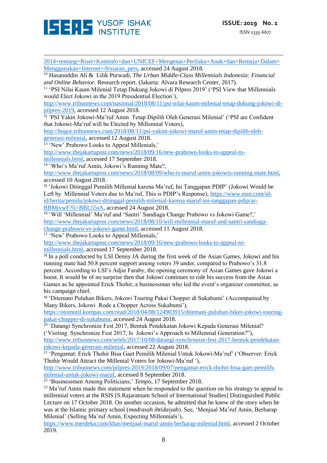

<u>.</u> [2014+tentang+Riset+Kominfo+dan+UNICEF+Mengenai+Perilaku+Anak+dan+Remaja+Dalam+](https://kominfo.go.id/index.php/content/detail/3834/Siaran+Pers+No.+17-PIH-KOMINFO-2-2014+tentang+Riset+Kominfo+dan+UNICEF+Mengenai+Perilaku+Anak+dan+Remaja+Dalam+Menggunakan+Internet+/0/siaran_pers) [Menggunakan+Internet+/0/siaran\\_pers,](https://kominfo.go.id/index.php/content/detail/3834/Siaran+Pers+No.+17-PIH-KOMINFO-2-2014+tentang+Riset+Kominfo+dan+UNICEF+Mengenai+Perilaku+Anak+dan+Remaja+Dalam+Menggunakan+Internet+/0/siaran_pers) accessed 24 August 2018.

<sup>10</sup> Hasanuddin Ali & Lilik Purwadi, *The Urban Middle-Class Millennials Indonesia: Financial and Online Behavior.* Research report. (Jakarta: Alvara Research Center, 2017).

<sup>11</sup> 'PSI Nilai Kaum Milenial Tetap Dukung Jokowi di Pilpres 2019' ('PSI View that Millennials would Elect Jokowi in the 2019 Presidential Election'),

[http://www.tribunnews.com/nasional/2018/08/11/psi-nilai-kaum-milenial-tetap-dukung-jokowi-di](http://www.tribunnews.com/nasional/2018/08/11/psi-nilai-kaum-milenial-tetap-dukung-jokowi-di-pilpres-2019)[pilpres-2019,](http://www.tribunnews.com/nasional/2018/08/11/psi-nilai-kaum-milenial-tetap-dukung-jokowi-di-pilpres-2019) accessed 12 August 2018.

12 *'*PSI Yakin Jokowi-Ma'ruf Amin Tetap Dipilih Oleh Generasi Milenial' ('PSI are Confident that Jokowi-Ma'ruf will be Elected by Millennial Voters),

[http://bogor.tribunnews.com/2018/08/11/psi-yakini-jokowi-maruf-amin-tetap-dipilih-oleh](http://bogor.tribunnews.com/2018/08/11/psi-yakini-jokowi-maruf-amin-tetap-dipilih-oleh-generasi-milenial)[generasi-milenial,](http://bogor.tribunnews.com/2018/08/11/psi-yakini-jokowi-maruf-amin-tetap-dipilih-oleh-generasi-milenial) accessed 12 August 2018.

<sup>13</sup> 'New' Prabowo Looks to Appeal Millenials,'

[http://www.thejakartapost.com/news/2018/09/16/new-prabowo-looks-to-appeal-to](http://www.thejakartapost.com/news/2018/09/16/new-prabowo-looks-to-appeal-to-millennials.html)[millennials.html,](http://www.thejakartapost.com/news/2018/09/16/new-prabowo-looks-to-appeal-to-millennials.html) accessed 17 September 2018.

<sup>14</sup> 'Who's Ma'ruf Amin, Jokowi's Running Mate?,

[http://www.thejakartapost.com/news/2018/08/09/who-is-maruf-amin-jokowis-running-mate.html,](http://www.thejakartapost.com/news/2018/08/09/who-is-maruf-amin-jokowis-running-mate.html) accessed 10 August 2018.

<sup>15</sup> 'Jokowi Ditinggal Pemilih Millenial karena Ma'ruf, Ini Tanggapan PDIP' (Jokowi Would be Left by Millennial Voters due to Ma'ruf, This is PDIP's Response), [https://www.msn.com/id](https://www.msn.com/id-id/berita/pemilu/jokowi-ditinggal-pemilih-milenial-karena-maruf-ini-tanggapan-pdip/ar-BBMjvwF?li=BBL55sA)[id/berita/pemilu/jokowi-ditinggal-pemilih-milenial-karena-maruf-ini-tanggapan-pdip/ar-](https://www.msn.com/id-id/berita/pemilu/jokowi-ditinggal-pemilih-milenial-karena-maruf-ini-tanggapan-pdip/ar-BBMjvwF?li=BBL55sA)[BBMjvwF?li=BBL55sA,](https://www.msn.com/id-id/berita/pemilu/jokowi-ditinggal-pemilih-milenial-karena-maruf-ini-tanggapan-pdip/ar-BBMjvwF?li=BBL55sA) accessed 24 August 2018.

<sup>16</sup> 'Will 'Millennial' Ma'ruf and 'Santri' Sandiaga Change Prabowo vs Jokowi Game?,' [http://www.thejakartapost.com/news/2018/08/10/will-millennial-maruf-and-santri-sandiaga](http://www.thejakartapost.com/news/2018/08/10/will-millennial-maruf-and-santri-sandiaga-change-prabowo-vs-jokowi-game.html)[change-prabowo-vs-jokowi-game.html,](http://www.thejakartapost.com/news/2018/08/10/will-millennial-maruf-and-santri-sandiaga-change-prabowo-vs-jokowi-game.html) accessed 11 August 2018.

<sup>17</sup> 'New' Prabowo Looks to Appeal Millenials,'

[http://www.thejakartapost.com/news/2018/09/16/new-prabowo-looks-to-appeal-to](http://www.thejakartapost.com/news/2018/09/16/new-prabowo-looks-to-appeal-to-millennials.html)[millennials.html,](http://www.thejakartapost.com/news/2018/09/16/new-prabowo-looks-to-appeal-to-millennials.html) accessed 17 September 2018.

<sup>18</sup> In a poll conducted by LSI Denny JA during the first week of the Asian Games, Jokowi and his running mate had 50.8 percent support among voters 39 under, compared to Prabowo's 31.8 percent. According to LSI's Adjie Faraby, the opening ceremony of Asian Games gave Jokowi a boost. It would be of no surprise then that Jokowi continues to ride his success from the Asian Games as he appointed Erick Thohir, a businessman who led the event's organizer committee, as his campaign chief.

<sup>19</sup> 'Ditemani Puluhan Bikers, Jokowi Touring Pakai Chopper di Sukabumi' (Accompanied by Many Bikers, Jokowi Rode a Chopper Across Sukabumi'),

[https://otomotif.kompas.com/read/2018/04/08/124903915/ditemani-puluhan-biker-jokowi-touring](https://otomotif.kompas.com/read/2018/04/08/124903915/ditemani-puluhan-biker-jokowi-touring-pakai-chopper-di-sukabumi)[pakai-chopper-di-sukabumi,](https://otomotif.kompas.com/read/2018/04/08/124903915/ditemani-puluhan-biker-jokowi-touring-pakai-chopper-di-sukabumi) accessed 24 August 2018.

<sup>20</sup> 'Datangi Synchronize Fest 2017, Bentuk Pendekatan Jokowi Kepada Generasi Milenial? ('Visiting Synchronize Fest 2017, Is Jokowi's Approach to Millennial Generation?"),

[http://www.tribunnews.com/seleb/2017/10/08/datangi-synchronize-fest-2017-bentuk-pendekatan](http://www.tribunnews.com/seleb/2017/10/08/datangi-synchronize-fest-2017-bentuk-pendekatan-jokowi-kepada-generasi-milenial)[jokowi-kepada-generasi-milenial,](http://www.tribunnews.com/seleb/2017/10/08/datangi-synchronize-fest-2017-bentuk-pendekatan-jokowi-kepada-generasi-milenial) accessed 22 August 2018.

<sup>21</sup> 'Pengamat: Erick Thohir Bisa Gaet Pemilih Milenial Untuk Jokowi-Ma'ruf' ('Observer: Erick Thohir Would Attract the Millenial Voters for Jokowi-Ma'ruf '),

[http://www.tribunnews.com/pilpres-2019/2018/09/07/pengamat-erick-thohir-bisa-gaet-pemilih](http://www.tribunnews.com/pilpres-2019/2018/09/07/pengamat-erick-thohir-bisa-gaet-pemilih-milenial-untuk-jokowi-maruf)[milenial-untuk-jokowi-maruf,](http://www.tribunnews.com/pilpres-2019/2018/09/07/pengamat-erick-thohir-bisa-gaet-pemilih-milenial-untuk-jokowi-maruf) accessed 8 September 2018.

<sup>22</sup> 'Businessmen Among Politicians,' *Tempo*, 17 September 2018.

 $^{23}$  Ma'ruf Amin made this statement when he responded to the question on his strategy to appeal to millennial voters at the RSIS [S.Rajaratnam School of International Studies] Distinguished Public Lecture on 17 October 2018. On another occasion, he admitted that he knew of the story when he was at the Islamic primary school (*madrasah ibtidaiyah*). See, 'Menjual Ma'ruf Amin, Berharap Milenial' (Selling Ma'ruf Amin, Expecting Millennials'),

[https://www.merdeka.com/khas/menjual-maruf-amin-berharap-milenial.html,](https://www.merdeka.com/khas/menjual-maruf-amin-berharap-milenial.html) accessed 2 October 2019.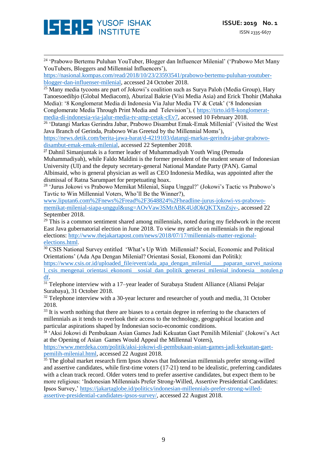

<u>.</u> <sup>24</sup> 'Prabowo Bertemu Puluhan YouTuber, Blogger dan Influencer Milenial' ('Prabowo Met Many YouTubers, Bloggers and Millennial Influencers'),

[https://nasional.kompas.com/read/2018/10/23/23593541/prabowo-bertemu-puluhan-youtuber](https://nasional.kompas.com/read/2018/10/23/23593541/prabowo-bertemu-puluhan-youtuber-blogger-dan-influenser-milenial)[blogger-dan-influenser-milenial,](https://nasional.kompas.com/read/2018/10/23/23593541/prabowo-bertemu-puluhan-youtuber-blogger-dan-influenser-milenial) accessed 24 October 2018.

 $\frac{25 \text{ Many media two}}{25 \text{ Many media two}}$  are part of Jokowi's coalition such as Surya Paloh (Media Group), Hary Tanoesoedibjo (Global Mediacom), Aburizal Bakrie (Visi Media Asia) and Erick Thohir (Mahaka Media): '8 Konglomerat Media di Indonesia Via Jalur Media TV & Cetak' ('8 Indonesian Conglomerate Media Through Print Media and Television'), ( [https://tirto.id/8-konglomerat](https://tirto.id/8-konglomerat-media-di-indonesia-via-jalur-media-tv-amp-cetak-cEv7)[media-di-indonesia-via-jalur-media-tv-amp-cetak-cEv7,](https://tirto.id/8-konglomerat-media-di-indonesia-via-jalur-media-tv-amp-cetak-cEv7) accessed 10 February 2018.

<sup>26</sup> 'Datangi Markas Gerindra Jabar, Prabowo Disambut Emak-Emak Millenial' (Visited the West Java Branch of Gerinda, Prabowo Was Greeted by the Millennial Moms'),

[https://news.detik.com/berita-jawa-barat/d-4219103/datangi-markas-gerindra-jabar-prabowo](https://news.detik.com/berita-jawa-barat/d-4219103/datangi-markas-gerindra-jabar-prabowo-disambut-emak-emak-milenial)[disambut-emak-emak-milenial,](https://news.detik.com/berita-jawa-barat/d-4219103/datangi-markas-gerindra-jabar-prabowo-disambut-emak-emak-milenial) accessed 22 September 2018.

<sup>27</sup> Dahnil Simanjuntak is a former leader of Muhammadiyah Youth Wing (Pemuda Muhammadiyah), while Faldo Maldini is the former president of the student senate of Indonesian University (UI) and the deputy secretary-general National Mandate Party (PAN). Gamal Albinsaid, who is general physician as well as CEO Indonesia Medika, was appointed after the dismissal of Ratna Sarumpaet for perpetuating hoax.

<sup>28</sup> 'Jurus Jokowi vs Prabowo Memikat Milenial, Siapa Unggul?' (Jokowi's Tactic vs Prabowo's Tavtic to Win Millennial Voters, Who'll Be the Winner?),

www.liputan6.com%2Fnews%2Fread%2F3648824%2Fheadline-jurus-jokowi-vs-prabowomemikat-milenial-siapa-unggul&usg=AOvVaw3SMrABK4UdOkQKTXmZsjv-, accessed 22 September 2018.

 $29$  This is a common sentiment shared among millennials, noted during my fieldwork in the recent East Java gubernatorial election in June 2018. To view my article on millennials in the regional elections: [http://www.thejakartapost.com/news/2018/07/17/millennials-matter-regional](http://www.thejakartapost.com/news/2018/07/17/millennials-matter-regional-elections.html)[elections.html](http://www.thejakartapost.com/news/2018/07/17/millennials-matter-regional-elections.html).

<sup>30</sup> CSIS National Survey entitled 'What's Up With Millennial? Social, Economic and Political Orientations' (Ada Apa Dengan Milenial? Orientasi Sosial, Ekonomi dan Politik):

[https://www.csis.or.id/uploaded\\_file/event/ada\\_apa\\_dengan\\_milenial\\_\\_\\_\\_paparan\\_survei\\_nasiona](https://www.csis.or.id/uploaded_file/event/ada_apa_dengan_milenial____paparan_survei_nasional_csis_mengenai_orientasi_ekonomi__sosial_dan_politik_generasi_milenial_indonesia__notulen.pdf) [l\\_csis\\_mengenai\\_orientasi\\_ekonomi\\_\\_sosial\\_dan\\_politik\\_generasi\\_milenial\\_indonesia\\_\\_notulen.p](https://www.csis.or.id/uploaded_file/event/ada_apa_dengan_milenial____paparan_survei_nasional_csis_mengenai_orientasi_ekonomi__sosial_dan_politik_generasi_milenial_indonesia__notulen.pdf) [df.](https://www.csis.or.id/uploaded_file/event/ada_apa_dengan_milenial____paparan_survei_nasional_csis_mengenai_orientasi_ekonomi__sosial_dan_politik_generasi_milenial_indonesia__notulen.pdf)

<sup>31</sup> Telephone interview with a 17–year leader of Surabaya Student Alliance (Aliansi Pelajar Surabaya), 31 October 2018.

 $32$  Telephone interview with a 30-year lecturer and researcher of youth and media, 31 October 2018.

<sup>33</sup> It is worth nothing that there are biases to a certain degree in referring to the characters of millennials as it tends to overlook their access to the technology, geographical location and particular aspirations shaped by Indonesian socio-economic conditions.

<sup>34</sup> 'Aksi Jokowi di Pembukaan Asian Games Jadi Kekuatan Gaet Pemilih Milenial' (Jokowi's Act at the Opening of Asian Games Would Appeal the Millennal Voters),

[https://www.merdeka.com/politik/aksi-jokowi-di-pembukaan-asian-games-jadi-kekuatan-gaet](https://www.merdeka.com/politik/aksi-jokowi-di-pembukaan-asian-games-jadi-kekuatan-gaet-pemilih-milenial.html)[pemilih-milenial.html,](https://www.merdeka.com/politik/aksi-jokowi-di-pembukaan-asian-games-jadi-kekuatan-gaet-pemilih-milenial.html) accessed 22 August 2018.

 $35$  The global market research firm Ipsos shows that Indonesian millennials prefer strong-willed and assertive candidates, while first-time voters (17-21) tend to be idealistic, preferring candidates with a clean track record. Older voters tend to prefer assertive candidates, but expect them to be more religious: 'Indonesian Millennials Prefer Strong-Willed, Assertive Presidential Candidates: Ipsos Survey,' [https://jakartaglobe.id/politics/indonesian-millennials-prefer-strong-willed](https://jakartaglobe.id/politics/indonesian-millennials-prefer-strong-willed-assertive-presidential-candidates-ipsos-survey/)[assertive-presidential-candidates-ipsos-survey/,](https://jakartaglobe.id/politics/indonesian-millennials-prefer-strong-willed-assertive-presidential-candidates-ipsos-survey/) accessed 22 August 2018.